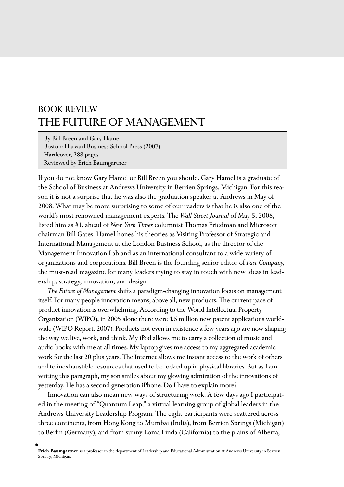## BOOK REVIEW THE FUTURE OF MANAGEMENT

By Bill Breen and Gary Hamel Boston: Harvard Business School Press (2007) Hardcover, 288 pages Reviewed by Erich Baumgartner

If you do not know Gary Hamel or Bill Breen you should. Gary Hamel is a graduate of the School of Business at Andrews University in Berrien Springs, Michigan. For this reason it is not a surprise that he was also the graduation speaker at Andrews in May of 2008. What may be more surprising to some of our readers is that he is also one of the world's most renowned management experts. The *Wall Street Journal* of May 5, 2008, listed him as #1, ahead of *New York Times* columnist Thomas Friedman and Microsoft chairman Bill Gates. Hamel hones his theories as Visiting Professor of Strategic and International Management at the London Business School, as the director of the Management Innovation Lab and as an international consultant to a wide variety of organizations and corporations. Bill Breen is the founding senior editor of *Fast Company,* the must-read magazine for many leaders trying to stay in touch with new ideas in leadership, strategy, innovation, and design.

*The Future of Management* shifts a paradigm-changing innovation focus on management itself. For many people innovation means, above all, new products. The current pace of product innovation is overwhelming. According to the World Intellectual Property Organization (WIPO), in 2005 alone there were 1.6 million new patent applications worldwide (WIPO Report, 2007). Products not even in existence a few years ago are now shaping the way we live, work, and think. My iPod allows me to carry a collection of music and audio books with me at all times. My laptop gives me access to my aggregated academic work for the last 20 plus years. The Internet allows me instant access to the work of others and to inexhaustible resources that used to be locked up in physical libraries. But as I am writing this paragraph, my son smiles about my glowing admiration of the innovations of yesterday. He has a second generation iPhone. Do I have to explain more?

Innovation can also mean new ways of structuring work. A few days ago I participated in the meeting of "Quantum Leap," a virtual learning group of global leaders in the Andrews University Leadership Program. The eight participants were scattered across three continents, from Hong Kong to Mumbai (India), from Berrien Springs (Michigan) to Berlin (Germany), and from sunny Loma Linda (California) to the plains of Alberta,

**Erich Baumgartner** is a professor in the department of Leadership and Educational Administration at Andrews University in Berrien Springs, Michigan.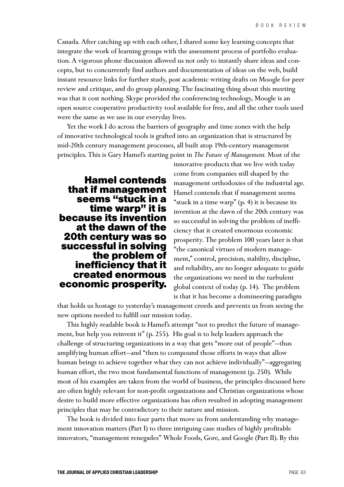Canada. After catching up with each other, I shared some key learning concepts that integrate the work of learning groups with the assessment process of portfolio evaluation. A vigorous phone discussion allowed us not only to instantly share ideas and concepts, but to concurrently find authors and documentation of ideas on the web, build instant resource links for further study, post academic writing drafts on Moogle for peer review and critique, and do group planning. The fascinating thing about this meeting was that it cost nothing. Skype provided the conferencing technology, Moogle is an open source cooperative productivity tool available for free, and all the other tools used were the same as we use in our everyday lives.

Yet the work I do across the barriers of geography and time zones with the help of innovative technological tools is grafted into an organization that is structured by mid-20th century management processes, all built atop 19th-century management principles. This is Gary Hamel's starting point in *The Future of Management.* Most of the

**Hamel contends that if management seems "stuck in a time warp" it is because its invention at the dawn of the 20th century was so successful in solving the problem of inefficiency that it created enormous economic prosperity.**

innovative products that we live with today come from companies still shaped by the management orthodoxies of the industrial age. Hamel contends that if management seems "stuck in a time warp" (p. 4) it is because its invention at the dawn of the 20th century was so successful in solving the problem of inefficiency that it created enormous economic prosperity. The problem 100 years later is that "the canonical virtues of modern management," control, precision, stability, discipline, and reliability, are no longer adequate to guide the organizations we need in the turbulent global context of today (p. 14). The problem is that it has become a domineering paradigm

that holds us hostage to yesterday's management creeds and prevents us from seeing the new options needed to fulfill our mission today.

This highly readable book is Hamel's attempt "not to predict the future of management, but help you reinvent it" (p. 255). His goal is to help leaders approach the challenge of structuring organizations in a way that gets "more out of people"—thus amplifying human effort—and "then to compound those efforts in ways that allow human beings to achieve together what they can not achieve individually"—aggregating human effort, the two most fundamental functions of management (p. 250). While most of his examples are taken from the world of business, the principles discussed here are often highly relevant for non-profit organizations and Christian organizations whose desire to build more effective organizations has often resulted in adopting management principles that may be contradictory to their nature and mission.

The book is divided into four parts that move us from understanding why management innovation matters (Part I) to three intriguing case studies of highly profitable innovators, "management renegades" Whole Foods, Gore, and Google (Part II). By this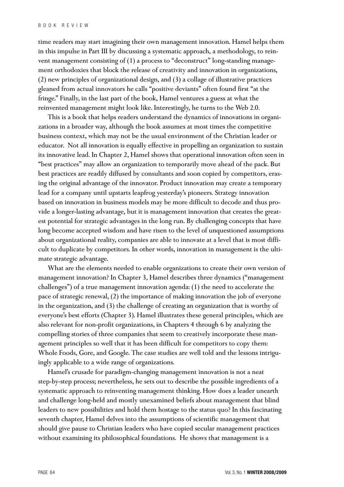time readers may start imagining their own management innovation. Hamel helps them in this impulse in Part III by discussing a systematic approach, a methodology, to reinvent management consisting of (1) a process to "deconstruct" long-standing management orthodoxies that block the release of creativity and innovation in organizations, (2) new principles of organizational design, and (3) a collage of illustrative practices gleaned from actual innovators he calls "positive deviants" often found first "at the fringe." Finally, in the last part of the book, Hamel ventures a guess at what the reinvented management might look like. Interestingly, he turns to the Web 2.0.

This is a book that helps readers understand the dynamics of innovations in organizations in a broader way, although the book assumes at most times the competitive business context, which may not be the usual environment of the Christian leader or educator. Not all innovation is equally effective in propelling an organization to sustain its innovative lead. In Chapter 2, Hamel shows that operational innovation often seen in "best practices" may allow an organization to temporarily move ahead of the pack. But best practices are readily diffused by consultants and soon copied by competitors, erasing the original advantage of the innovator. Product innovation may create a temporary lead for a company until upstarts leapfrog yesterday's pioneers. Strategy innovation based on innovation in business models may be more difficult to decode and thus provide a longer-lasting advantage, but it is management innovation that creates the greatest potential for strategic advantages in the long run. By challenging concepts that have long become accepted wisdom and have risen to the level of unquestioned assumptions about organizational reality, companies are able to innovate at a level that is most difficult to duplicate by competitors. In other words, innovation in management is the ultimate strategic advantage.

What are the elements needed to enable organizations to create their own version of management innovation? In Chapter 3, Hamel describes three dynamics ("management challenges") of a true management innovation agenda: (1) the need to accelerate the pace of strategic renewal, (2) the importance of making innovation the job of everyone in the organization, and (3) the challenge of creating an organization that is worthy of everyone's best efforts (Chapter 3). Hamel illustrates these general principles, which are also relevant for non-profit organizations, in Chapters 4 through 6 by analyzing the compelling stories of three companies that seem to creatively incorporate these management principles so well that it has been difficult for competitors to copy them: Whole Foods, Gore, and Google. The case studies are well told and the lessons intriguingly applicable to a wide range of organizations.

Hamel's crusade for paradigm-changing management innovation is not a neat step-by-step process; nevertheless, he sets out to describe the possible ingredients of a systematic approach to reinventing management thinking. How does a leader unearth and challenge long-held and mostly unexamined beliefs about management that blind leaders to new possibilities and hold them hostage to the status quo? In this fascinating seventh chapter, Hamel delves into the assumptions of scientific management that should give pause to Christian leaders who have copied secular management practices without examining its philosophical foundations. He shows that management is a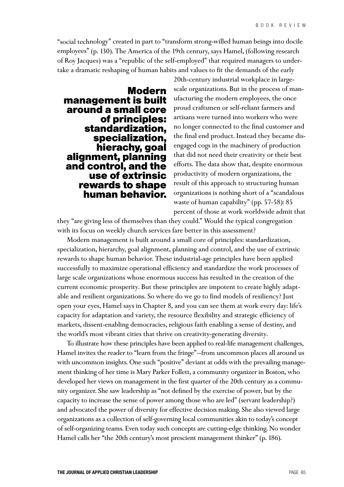"social technology" created in part to "transform strong-willed human beings into docile employees" (p. 130). The America of the 19th century, says Hamel, (following research of Roy Jacques) was a "republic of the self-employed" that required managers to undertake a dramatic reshaping of human habits and values to fit the demands of the early

**Modern management is built around a small core of principles: standardization, specialization, hierachy, goal alignment, planning and control, and the use of extrinsic rewards to shape human behavior.**

20th-century industrial workplace in largescale organizations. But in the process of manufacturing the modern employees, the once proud craftsmen or self-reliant farmers and artisans were turned into workers who were no longer connected to the final customer and the final end product. Instead they became disengaged cogs in the machinery of production that did not need their creativity or their best efforts. The data show that, despite enormous productivity of modern organizations, the result of this approach to structuring human organizations is nothing short of a "scandalous waste of human capability" (pp. 57-58): 85 percent of those at work worldwide admit that

they "are giving less of themselves than they could." Would the typical congregation with its focus on weekly church services fare better in this assessment?

Modern management is built around a small core of principles: standardization, specialization, hierarchy, goal alignment, planning and control, and the use of extrinsic rewards to shape human behavior. These industrial-age principles have been applied successfully to maximize operational efficiency and standardize the work processes of large scale organizations whose enormous success has resulted in the creation of the current economic prosperity. But these principles are impotent to create highly adaptable and resilient organizations. So where do we go to find models of resiliency? Just open your eyes, Hamel says in Chapter 8, and you can see them at work every day: life's capacity for adaptation and variety, the resource flexibility and strategic efficiency of markets, dissent-enabling democracies, religious faith enabling a sense of destiny, and the world's most vibrant cities that thrive on creativity-generating diversity.

To illustrate how these principles have been applied to real-life management challenges, Hamel invites the reader to "learn from the fringe"—from uncommon places all around us with uncommon insights. One such "positive" deviant at odds with the prevailing management thinking of her time is Mary Parker Follett, a community organizer in Boston, who developed her views on management in the first quarter of the 20th century as a community organizer. She saw leadership as "not defined by the exercise of power, but by the capacity to increase the sense of power among those who are led" (servant leadership?) and advocated the power of diversity for effective decision making. She also viewed large organizations as a collection of self-governing local communities akin to today's concept of self-organizing teams. Even today such concepts are cutting-edge thinking. No wonder Hamel calls her "the 20th century's most prescient management thinker" (p. 186).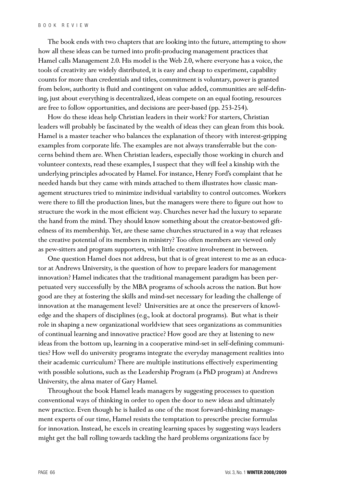The book ends with two chapters that are looking into the future, attempting to show how all these ideas can be turned into profit-producing management practices that Hamel calls Management 2.0. His model is the Web 2.0, where everyone has a voice, the tools of creativity are widely distributed, it is easy and cheap to experiment, capability counts for more than credentials and titles, commitment is voluntary, power is granted from below, authority is fluid and contingent on value added, communities are self-defining, just about everything is decentralized, ideas compete on an equal footing, resources are free to follow opportunities, and decisions are peer-based (pp. 253-254).

How do these ideas help Christian leaders in their work? For starters, Christian leaders will probably be fascinated by the wealth of ideas they can glean from this book. Hamel is a master teacher who balances the explanation of theory with interest-gripping examples from corporate life. The examples are not always transferrable but the concerns behind them are. When Christian leaders, especially those working in church and volunteer contexts, read these examples, I suspect that they will feel a kinship with the underlying principles advocated by Hamel. For instance, Henry Ford's complaint that he needed hands but they came with minds attached to them illustrates how classic management structures tried to minimize individual variability to control outcomes. Workers were there to fill the production lines, but the managers were there to figure out how to structure the work in the most efficient way. Churches never had the luxury to separate the hand from the mind. They should know something about the creator-bestowed giftedness of its membership. Yet, are these same churches structured in a way that releases the creative potential of its members in ministry? Too often members are viewed only as pew-sitters and program supporters, with little creative involvement in between.

One question Hamel does not address, but that is of great interest to me as an educator at Andrews University, is the question of how to prepare leaders for management innovation? Hamel indicates that the traditional management paradigm has been perpetuated very successfully by the MBA programs of schools across the nation. But how good are they at fostering the skills and mind-set necessary for leading the challenge of innovation at the management level? Universities are at once the preservers of knowledge and the shapers of disciplines (e.g., look at doctoral programs). But what is their role in shaping a new organizational worldview that sees organizations as communities of continual learning and innovative practice? How good are they at listening to new ideas from the bottom up, learning in a cooperative mind-set in self-defining communities? How well do university programs integrate the everyday management realities into their academic curriculum? There are multiple institutions effectively experimenting with possible solutions, such as the Leadership Program (a PhD program) at Andrews University, the alma mater of Gary Hamel.

Throughout the book Hamel leads managers by suggesting processes to question conventional ways of thinking in order to open the door to new ideas and ultimately new practice. Even though he is hailed as one of the most forward-thinking management experts of our time, Hamel resists the temptation to prescribe precise formulas for innovation. Instead, he excels in creating learning spaces by suggesting ways leaders might get the ball rolling towards tackling the hard problems organizations face by